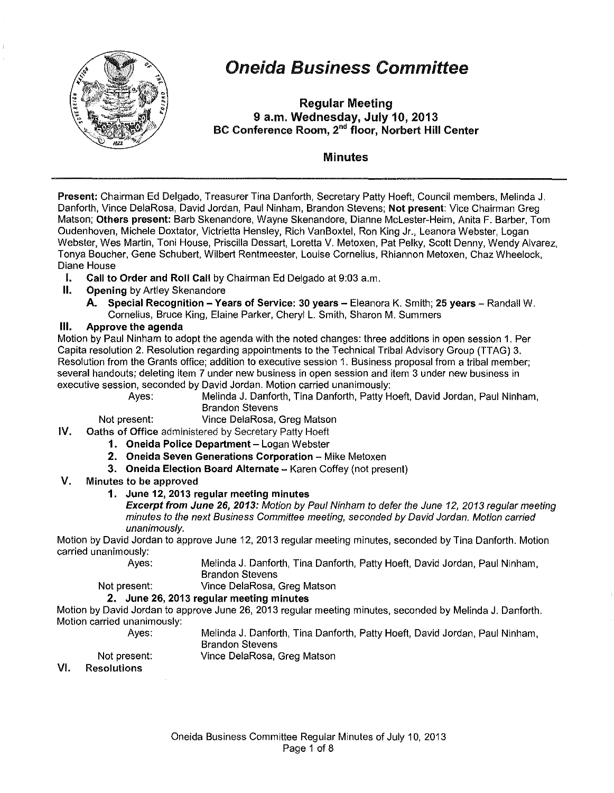

# Oneida Business Committee

Regular Meeting 9 a.m. Wednesday, July 10, 2013 BC Conference Room, 2<sup>nd</sup> floor, Norbert Hill Center

# Minutes

Present: Chairman Ed Delgado, Treasurer Tina Danforth, Secretary Patty Hoeft, Council members, Melinda J. Danforth, Vince DelaRosa, David Jordan, Paul Ninham, Brandon Stevens; Not present: Vice Chairman Greg Matson; Others present: Barb Skenandore, Wayne Skenandore, Dianne McLester-Heim, Anita F. Barber, Tom Oudenhoven, Michele Doxtater, Victrietta Hensley, Rich VanBoxtel, Ron King Jr., Leanora Webster, Logan Webster, Wes Martin, Toni House, Priscilla Dessart, Loretta V. Metoxen, Pat Pelky, Scott Denny, Wendy Alvarez, Tonya Boucher, Gene Schubert, Wilbert Rentmeester, Louise Cornelius, Rhiannon Metoxen, Chaz Wheelock, Diane House

- I. Call to Order and Roll Call by Chairman Ed Delgado at 9:03a.m.
- II. Opening by Artley Skenandore
	- A. Special Recognition Years of Service: 30 years Eleanora K. Smith; 25 years Randall W. Cornelius, Bruce King, Elaine Parker, Cheryl L. Smith, Sharon M. Summers

# Ill. Approve the agenda

Motion by Paul Ninham to adopt the agenda with the noted changes: three additions in open session 1. Per Capita resolution 2. Resolution regarding appointments to the Technical Tribal Advisory Group (TTAG) 3. Resolution from the Grants office; addition to executive session 1. Business proposal from a tribal member; several handouts; deleting item 7 under new business in open session and item 3 under new business in executive session, seconded by David Jordan. Motion carried unanimously:

Ayes: Melinda J. Danforth, Tina Danforth, Patty Hoeft, David Jordan, Paul Ninham, Brandon Stevens

Not present: Vince DelaRosa, Greg Matson

- IV. Oaths of Office administered by Secretary Patty Hoeft
	- 1. Oneida Police Department Logan Webster
	- 2. Oneida Seven Generations Corporation- Mike Metoxen
	- 3. Oneida Election Board Alternate Karen Coffey (not present)
- V. Minutes to be approved
	- 1. June 12, 2013 regular meeting minutes

Excerpt from June 26, 2013: Motion by Paul Ninham to defer the June 12, 2013 regular meeting minutes to the next Business Committee meeting, seconded by David Jordan. Motion carried unanimously.

Motion by David Jordan to approve June 12, 2013 regular meeting minutes, seconded by Tina Danforth. Motion carried unanimously:

Ayes: Melinda J. Danforth, Tina Danforth, Patty Hoeft, David Jordan, Paul Ninham, Brandon Stevens

Not present: Vince DelaRosa, Greg Matson

# 2. June 26, 2013 regular meeting minutes

Motion by David Jordan to approve June 26, 2013 regular meeting minutes, seconded by Melinda J. Danforth. Motion carried unanimously:

Ayes:

Melinda J. Danforth, Tina Danforth, Patty Hoeft, David Jordan, Paul Ninham,

Brandon Stevens

Not present:

- Vince DelaRosa, Greg Matson
- VI. Resolutions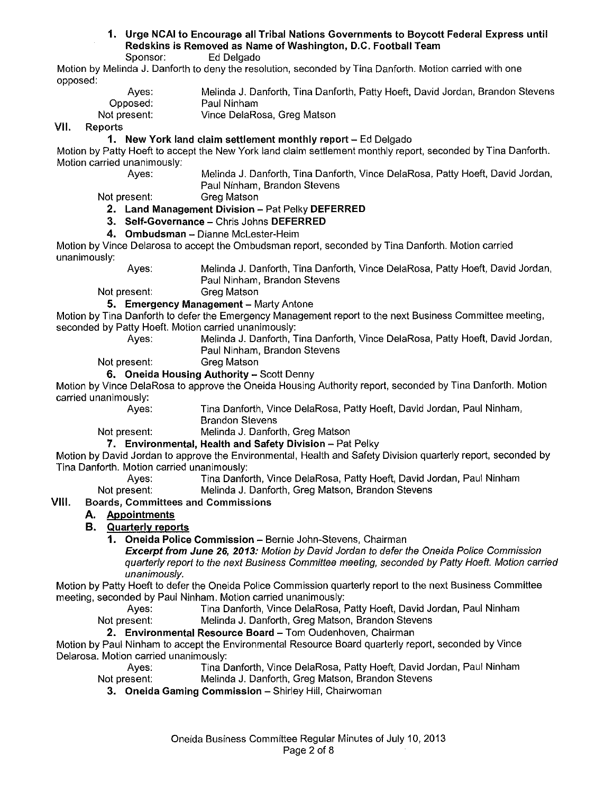### 1. Urge NCAI to Encourage all Tribal Nations Governments to Boycott Federal Express until Redskins is Removed as Name of Washington, D.C. Football Team Ed Delgado

Motion by Melinda J. Danforth to deny the resolution, seconded by Tina Danforth. Motion carried with one opposed:

| Aves:        | Melinda J. Danforth, Tina Danforth, Patty Hoeft, David Jordan, Brandon Stevens |
|--------------|--------------------------------------------------------------------------------|
| Opposed:     | Paul Ninham                                                                    |
| Not present: | Vince DelaRosa, Greg Matson                                                    |

VII. Reports

# 1. New York land claim settlement monthly report- Ed Delgado

Motion by Patty Hoeft to accept the New York land claim settlement monthly report, seconded by Tina Danforth. Motion carried unanimously:<br>Aves:

Melinda J. Danforth, Tina Danforth, Vince DelaRosa, Patty Hoeft, David Jordan, Paul Ninham, Brandon Stevens

Not present: Greg Matson

# 2. Land Management Division- Pat Pelky DEFERRED

- 3. Self-Governance- Chris Johns DEFERRED
- 4. Ombudsman Dianne McLester-Heim

Motion by Vince Delarosa to accept the Ombudsman report, seconded by Tina Danforth. Motion carried unanimously:

Ayes: Melinda J. Danforth, Tina Danforth, Vince DelaRosa, Patty Hoeft, David Jordan, Paul Ninham, Brandon Stevens

Not present: Greg Matson

### 5. Emergency Management - Marty Antone

Motion by Tina Danforth to defer the Emergency Management report to the next Business Committee meeting, seconded by Patty Hoeft. Motion carried unanimously:

Melinda J. Danforth, Tina Danforth, Vince DelaRosa, Patty Hoeft, David Jordan, Paul Ninham, Brandon Stevens

Not present: Greg Matson

### 6. Oneida Housing Authority - Scott Denny

Motion by Vince DelaRosa to approve the Oneida Housing Authority report, seconded by Tina Danforth. Motion carried unanimously:

Ayes: Tina Danforth, Vince DelaRosa, Patty Hoeft, David Jordan, Paul Ninham, Brandon Stevens

Not present: Melinda J. Danforth, Greg Matson

7. Environmental, Health and Safety Division- Pat Pelky

Motion by David Jordan to approve the Environmental, Health and Safety Division quarterly report, seconded by Tina Danforth. Motion carried unanimously:

Ayes: Tina Danforth, Vince DelaRosa, Patty Hoeft, David Jordan, Paul Ninham

Not present: Melinda J. Danforth, Greg Matson, Brandon Stevens

# VIII. Boards, Committees and Commissions

### A. Appointments

# B. Quarterly reports

1. Oneida Police Commission- Bernie John-Stevens, Chairman

Excerpt from June 26, 2013: Motion by David Jordan to defer the Oneida Police Commission quarterly report to the next Business Committee meeting, seconded by Patty Hoeft. Motion carried unanimously.

Motion by Patty Hoeft to defer the Oneida Police Commission quarterly report to the next Business Committee meeting, seconded by Paul Ninham. Motion carried unanimously:

Ayes: Tina Danforth, Vince DelaRosa, Patty Hoeft, David Jordan, Paul Ninham

Not present: Melinda J. Danforth, Greg Matson, Brandon Stevens

### 2. Environmental Resource Board- Tom Oudenhoven, Chairman

Motion by Paul Ninham to accept the Environmental Resource Board quarterly report, seconded by Vince Delarosa. Motion carried unanimously:

Ayes: Tina Danforth, Vince DelaRosa, Patty Hoeft, David Jordan, Paul Ninham Not present: Melinda J. Danforth, Greg Matson, Brandon Stevens

3. Oneida Gaming Commission - Shirley Hill, Chairwoman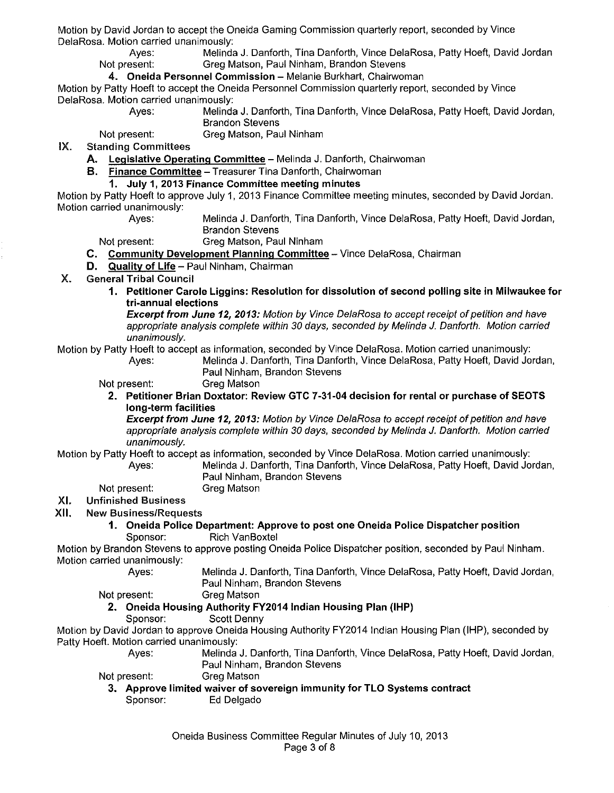Motion by David Jordan to accept the Oneida Gaming Commission quarterly report, seconded by Vince DelaRosa. Motion carried unanimously:

Ayes: Melinda J. Danforth, Tina Danforth, Vince DelaRosa, Patty Hoeft, David Jordan<br>Not present: Greg Matson, Paul Ninham, Brandon Stevens Greg Matson, Paul Ninham, Brandon Stevens

### 4. Oneida Personnel Commission- Melanie Burkhart, Chairwoman

Motion by Patty Hoeft to accept the Oneida Personnel Commission quarterly report, seconded by Vince DelaRosa. Motion carried unanimously:

Melinda J. Danforth, Tina Danforth, Vince DelaRosa, Patty Hoeft, David Jordan, Brandon Stevens

Not present: Greg Matson, Paul Ninham

IX. Standing Committees

- A. Legislative Operating Committee Melinda J. Danforth, Chairwoman
	- B. Finance Committee- Treasurer Tina Danforth, Chairwoman

### 1. July 1, 2013 Finance Committee meeting minutes

Motion by Patty Hoeft to approve July 1, 2013 Finance Committee meeting minutes, seconded by David Jordan. Motion carried unanimously:<br>Aves:

Melinda J. Danforth, Tina Danforth, Vince DelaRosa, Patty Hoeft, David Jordan, Brandon Stevens

Not present: Greg Matson, Paul Ninham

- C. Community Development Planning Committee- Vince DelaRosa, Chairman
- D. Quality of Life Paul Ninham, Chairman
- X. General Tribal Council
	- 1. Petitioner Carole Liggins: Resolution for dissolution of second polling site in Milwaukee for tri-annual elections

Excerpt from June 12, 2013: Motion by Vince DelaRosa to accept receipt of petition and have appropriate analysis complete within 30 days, seconded by Melinda *J.* Danforth. Motion carried unanimously.

# Motion by Patty Hoeft to accept as information, seconded by Vince DelaRosa. Motion carried unanimously:

Melinda J. Danforth, Tina Danforth, Vince DelaRosa, Patty Hoeft, David Jordan, Paul Ninham, Brandon Stevens

Not present: Greg Matson

2. Petitioner Brian Doxtator: Review GTC 7-31-04 decision for rental or purchase of SEOTS long-term facilities

Excerpt from June 12, 2013: Motion by Vince DelaRosa to accept receipt of petition and have appropriate analysis complete within 30 days, seconded by Melinda J. Danforth. Motion carried unanimously.

Motion by Patty Hoeft to accept as information, seconded by Vince DelaRosa. Motion carried unanimously:

Ayes: Melinda J. Danforth, Tina Danforth, Vince DelaRosa, Patty Hoeft, David Jordan, Paul Ninham, Brandon Stevens

Not present: Greg Matson

#### XI. Unfinished Business

XII. New Business/Requests

1. Oneida Police Department: Approve to post one Oneida Police Dispatcher position Sponsor: Rich VanBoxtel

Motion by Brandon Stevens to approve posting Oneida Police Dispatcher position, seconded by Paul Ninham. Motion carried unanimously:

Ayes: Melinda J. Danforth, Tina Danforth, Vince DelaRosa, Patty Hoeft, David Jordan, Paul Ninham, Brandon Stevens

Not present: Greg Matson

### 2. Oneida Housing Authority FY2014 Indian Housing Plan (IHP)

Sponsor: Scott Denny

Motion by David Jordan to approve Oneida Housing Authority FY2014 Indian Housing Plan (IHP), seconded by Patty Hoeft. Motion carried unanimously:

- Ayes: Melinda J. Danforth, Tina Danforth, Vince DelaRosa, Patty Hoeft, David Jordan, Paul Ninham, Brandon Stevens
- Not present: Greg Matson
	- 3. Approve limited waiver of sovereign immunity for TLO Systems contract Sponsor: Ed Delgado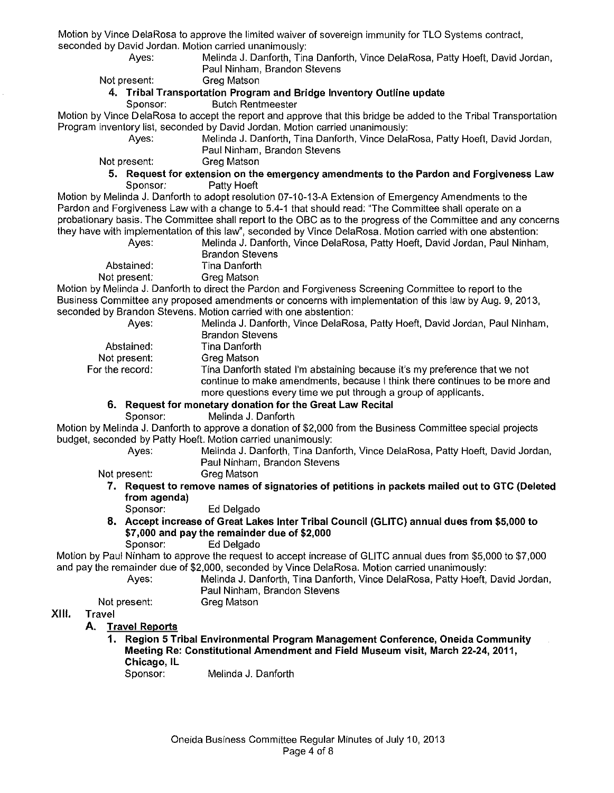Motion by Vince DelaRosa to approve the limited waiver of sovereign immunity for TLO Systems contract, seconded by David Jordan. Motion carried unanimously:

Melinda J. Danforth, Tina Danforth, Vince DelaRosa, Patty Hoeft, David Jordan, Paul Ninham, Brandon Stevens

Not present: Greg Matson

### **4. Tribal Transportation Program and Bridge Inventory Outline update**

Sponsor: Butch Rentmeester

Motion by Vince DelaRosa to accept the report and approve that this bridge be added to the Tribal Transportation Program inventory list, seconded by David Jordan. Motion carried unanimously:<br>Ayes: Melinda J. Danforth, Tina Danforth. Vince Delal

Melinda J. Danforth, Tina Danforth, Vince DelaRosa, Patty Hoeft, David Jordan, Paul Ninham, Brandon Stevens

Not present: Greg Matson

**5. Request for extension on the emergency amendments to the Pardon and Forgiveness Law**  Sponsor: Patty Hoeft

Motion by Melinda J. Danforth to adopt resolution 07-10-13-A Extension of Emergency Amendments to the Pardon and Forgiveness Law with a change to 5.4-1 that should read: "The Committee shall operate on a probationary basis. The Committee shall report to the OBC as to the progress of the Committee and any concerns they have with implementation of this law", seconded by Vince DelaRosa. Motion carried with one abstention:

| Aves:        | Melinda J. Danforth, Vince DelaRosa, Patty Hoeft, David Jordan, Paul Ninham, |
|--------------|------------------------------------------------------------------------------|
|              | <b>Brandon Stevens</b>                                                       |
| Abstained:   | Tina Danforth                                                                |
| Not present: | Grea Matson                                                                  |

Motion by Melinda J. Danforth to direct the Pardon and Forgiveness Screening Committee to report to the Business Committee any proposed amendments or concerns with implementation of this law by Aug. 9, 2013, seconded by Brandon Stevens. Motion carried with one abstention:

| Ayes:                | Melinda J. Danforth, Vince DelaRosa, Patty Hoeft, David Jordan, Paul Ninham,                                                                                                                                                 |
|----------------------|------------------------------------------------------------------------------------------------------------------------------------------------------------------------------------------------------------------------------|
|                      | <b>Brandon Stevens</b>                                                                                                                                                                                                       |
| Abstained:           | Tina Danforth                                                                                                                                                                                                                |
| Not present:         | Greg Matson                                                                                                                                                                                                                  |
| For the record: $\,$ | Tina Danforth stated I'm abstaining because it's my preference that we not<br>continue to make amendments, because I think there continues to be more and<br>more questions every time we put through a group of applicants. |
|                      | 6. Request for monetary donation for the Great Law Recital                                                                                                                                                                   |
| Sponsor:             | Melinda J. Danforth                                                                                                                                                                                                          |
|                      |                                                                                                                                                                                                                              |

Motion by Melinda J. Danforth to approve a donation of \$2,000 from the Business Committee special projects budget, seconded by Patty Hoeft. Motion carried unanimously:

Ayes: Melinda J. Danforth, Tina Danforth, Vince DelaRosa, Patty Hoeft, David Jordan, Paul Ninham, Brandon Stevens

Not present:

**7. Request to remove names of signatories of petitions in packets mailed out to GTC (Deleted from agenda)** 

Sponsor: Ed Delgado

**8. Accept increase of Great Lakes Inter Tribal Council (GLITC) annual dues from \$5,000 to \$7,000 and pay the remainder due of \$2,000** 

Sponsor: Ed Delgado

Motion by Paul Ninham to approve the request to accept increase of GLITC annual dues from \$5,000 to \$7,000 and pay the remainder due of \$2,000, seconded by Vince DelaRosa. Motion carried unanimously:

Ayes: Melinda J. Danforth, Tina Danforth, Vince DelaRosa, Patty Hoeft, David Jordan, Paul Ninham, Brandon Stevens

Not present: Greg Matson

#### **XIII. Travel**

# **A. Travel Reports**

**1. Region 5 Tribal Environmental Program Management Conference, Oneida Community Meeting Re: Constitutional Amendment and Field Museum visit, March 22-24, 2011, Chicago, IL** 

Sponsor: Melinda J. Danforth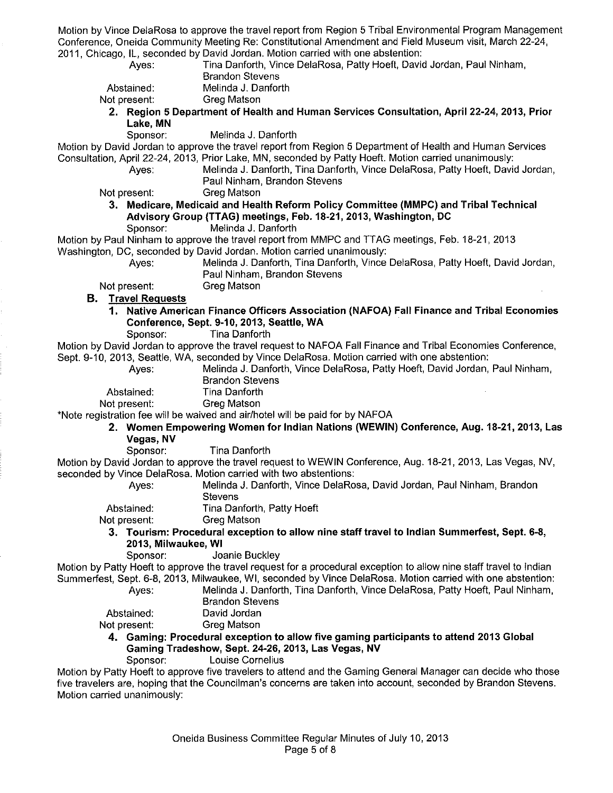Motion by Vince DelaRosa to approve the travel report from Region 5 Tribal Environmental Program Management Conference, Oneida Community Meeting Re: Constitutional Amendment and Field Museum visit, March 22-24, 2011, Chicago, IL, seconded by David Jordan. Motion carried with one abstention:

| Ayes.                       | Tina Danforth, Vince DelaRosa, Patty Hoeft, David Jordan, Paul Ninham,                                              |
|-----------------------------|---------------------------------------------------------------------------------------------------------------------|
|                             | <b>Brandon Stevens</b>                                                                                              |
| Abstained:                  | Melinda J. Danforth                                                                                                 |
| Not present:                | <b>Greg Matson</b>                                                                                                  |
|                             | 2. Region 5 Department of Health and Human Services Consultation, April 22-24, 2013, Prior                          |
| Lake, MN                    |                                                                                                                     |
| Sponsor:                    | Melinda J. Danforth                                                                                                 |
|                             | Motion by David Jordan to approve the travel report from Region 5 Department of Health and Human Services           |
|                             | Consultation, April 22-24, 2013, Prior Lake, MN, seconded by Patty Hoeft. Motion carried unanimously:               |
| Ayes:                       | Melinda J. Danforth, Tina Danforth, Vince DelaRosa, Patty Hoeft, David Jordan,                                      |
|                             | Paul Ninham, Brandon Stevens                                                                                        |
| Not present:                | Greg Matson                                                                                                         |
|                             | 3. Medicare, Medicaid and Health Reform Policy Committee (MMPC) and Tribal Technical                                |
|                             | Advisory Group (TTAG) meetings, Feb. 18-21, 2013, Washington, DC                                                    |
| Sponsor:                    | Melinda J. Danforth                                                                                                 |
|                             | Motion by Paul Ninham to approve the travel report from MMPC and TTAG meetings, Feb. 18-21, 2013                    |
|                             | Washington, DC, seconded by David Jordan. Motion carried unanimously:                                               |
| Ayes:                       | Melinda J. Danforth, Tina Danforth, Vince DelaRosa, Patty Hoeft, David Jordan,                                      |
|                             | Paul Ninham, Brandon Stevens                                                                                        |
| Not present:                | Greg Matson                                                                                                         |
| <b>B.</b> Travel Requests   |                                                                                                                     |
|                             | 1. Native American Finance Officers Association (NAFOA) Fall Finance and Tribal Economies                           |
|                             | Conference, Sept. 9-10, 2013, Seattle, WA<br>Tina Danforth                                                          |
| Sponsor:                    | Motion by David Jordan to approve the travel request to NAFOA Fall Finance and Tribal Economies Conference,         |
|                             | Sept. 9-10, 2013, Seattle, WA, seconded by Vince DelaRosa. Motion carried with one abstention:                      |
| Ayes:                       | Melinda J. Danforth, Vince DelaRosa, Patty Hoeft, David Jordan, Paul Ninham,                                        |
|                             | <b>Brandon Stevens</b>                                                                                              |
| Abstained:                  | Tina Danforth                                                                                                       |
| Not present:                | Greg Matson                                                                                                         |
|                             | *Note registration fee will be waived and air/hotel will be paid for by NAFOA                                       |
|                             | 2. Women Empowering Women for Indian Nations (WEWIN) Conference, Aug. 18-21, 2013, Las                              |
| Vegas, NV                   |                                                                                                                     |
| Sponsor:                    | Tina Danforth                                                                                                       |
|                             | Motion by David Jordan to approve the travel request to WEWIN Conference, Aug. 18-21, 2013, Las Vegas, NV,          |
|                             | seconded by Vince DelaRosa. Motion carried with two abstentions:                                                    |
| Ayes.                       | Melinda J. Danforth, Vince DelaRosa, David Jordan, Paul Ninham, Brandon                                             |
|                             | <b>Stevens</b>                                                                                                      |
| Abstained:                  | Tina Danforth, Patty Hoeft                                                                                          |
| Not present:                | Greg Matson                                                                                                         |
|                             | 3. Tourism: Procedural exception to allow nine staff travel to Indian Summerfest, Sept. 6-8,                        |
| 2013, Milwaukee, WI         |                                                                                                                     |
| Sponsor:                    | Joanie Buckley                                                                                                      |
|                             | Motion by Patty Hoeft to approve the travel request for a procedural exception to allow nine staff travel to Indian |
|                             | Summerfest, Sept. 6-8, 2013, Milwaukee, WI, seconded by Vince DelaRosa. Motion carried with one abstention:         |
| Ayes:                       | Melinda J. Danforth, Tina Danforth, Vince DelaRosa, Patty Hoeft, Paul Ninham,                                       |
|                             | <b>Brandon Stevens</b>                                                                                              |
| Abstained.                  | David Jordan                                                                                                        |
| Not present:                | Greg Matson                                                                                                         |
|                             | 4. Gaming: Procedural exception to allow five gaming participants to attend 2013 Global                             |
|                             | Gaming Tradeshow, Sept. 24-26, 2013, Las Vegas, NV                                                                  |
| Sponsor:                    | Louise Cornelius                                                                                                    |
|                             | Motion by Patty Hoeft to approve five travelers to attend and the Gaming General Manager can decide who those       |
| Motion carried unanimously: | five travelers are, hoping that the Councilman's concerns are taken into account, seconded by Brandon Stevens.      |
|                             |                                                                                                                     |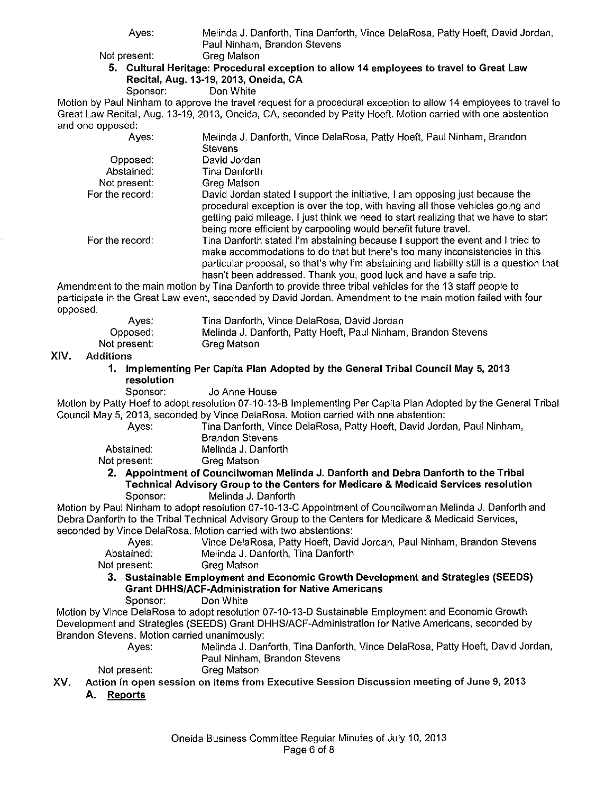|          | Ayes:                                        | Melinda J. Danforth, Tina Danforth, Vince DelaRosa, Patty Hoeft, David Jordan,<br>Paul Ninham, Brandon Stevens                                                                                                                                                                                                                 |
|----------|----------------------------------------------|--------------------------------------------------------------------------------------------------------------------------------------------------------------------------------------------------------------------------------------------------------------------------------------------------------------------------------|
|          | Not present:                                 | <b>Greg Matson</b>                                                                                                                                                                                                                                                                                                             |
|          |                                              | 5. Cultural Heritage: Procedural exception to allow 14 employees to travel to Great Law                                                                                                                                                                                                                                        |
|          | Sponsor:                                     | Recital, Aug. 13-19, 2013, Oneida, CA<br>Don White                                                                                                                                                                                                                                                                             |
|          |                                              | Motion by Paul Ninham to approve the travel request for a procedural exception to allow 14 employees to travel to                                                                                                                                                                                                              |
|          |                                              | Great Law Recital, Aug. 13-19, 2013, Oneida, CA, seconded by Patty Hoeft. Motion carried with one abstention                                                                                                                                                                                                                   |
|          | and one opposed:                             |                                                                                                                                                                                                                                                                                                                                |
|          | Ayes:                                        | Melinda J. Danforth, Vince DelaRosa, Patty Hoeft, Paul Ninham, Brandon                                                                                                                                                                                                                                                         |
|          |                                              | <b>Stevens</b>                                                                                                                                                                                                                                                                                                                 |
|          | Opposed:                                     | David Jordan                                                                                                                                                                                                                                                                                                                   |
|          | Abstained:                                   | Tina Danforth                                                                                                                                                                                                                                                                                                                  |
|          | Not present:                                 | Greg Matson                                                                                                                                                                                                                                                                                                                    |
|          | For the record:                              | David Jordan stated I support the initiative, I am opposing just because the                                                                                                                                                                                                                                                   |
|          |                                              | procedural exception is over the top, with having all those vehicles going and<br>getting paid mileage. I just think we need to start realizing that we have to start<br>being more efficient by carpooling would benefit future travel.                                                                                       |
|          | For the record:                              | Tina Danforth stated I'm abstaining because I support the event and I tried to<br>make accommodations to do that but there's too many inconsistencies in this<br>particular proposal, so that's why I'm abstaining and liability still is a question that<br>hasn't been addressed. Thank you, good luck and have a safe trip. |
|          |                                              | Amendment to the main motion by Tina Danforth to provide three tribal vehicles for the 13 staff people to                                                                                                                                                                                                                      |
|          |                                              | participate in the Great Law event, seconded by David Jordan. Amendment to the main motion failed with four                                                                                                                                                                                                                    |
| opposed: |                                              |                                                                                                                                                                                                                                                                                                                                |
|          | Ayes:                                        | Tina Danforth, Vince DelaRosa, David Jordan                                                                                                                                                                                                                                                                                    |
|          | Opposed:                                     | Melinda J. Danforth, Patty Hoeft, Paul Ninham, Brandon Stevens                                                                                                                                                                                                                                                                 |
|          | Not present:                                 | Greg Matson                                                                                                                                                                                                                                                                                                                    |
| XIV.     | <b>Additions</b>                             |                                                                                                                                                                                                                                                                                                                                |
|          |                                              |                                                                                                                                                                                                                                                                                                                                |
|          |                                              |                                                                                                                                                                                                                                                                                                                                |
|          | 1.                                           | Implementing Per Capita Plan Adopted by the General Tribal Council May 5, 2013                                                                                                                                                                                                                                                 |
|          | resolution                                   |                                                                                                                                                                                                                                                                                                                                |
|          | Sponsor:                                     | Jo Anne House                                                                                                                                                                                                                                                                                                                  |
|          |                                              | Motion by Patty Hoef to adopt resolution 07-10-13-B Implementing Per Capita Plan Adopted by the General Tribal                                                                                                                                                                                                                 |
|          |                                              | Council May 5, 2013, seconded by Vince DelaRosa. Motion carried with one abstention:                                                                                                                                                                                                                                           |
|          | Ayes:                                        | Tina Danforth, Vince DelaRosa, Patty Hoeft, David Jordan, Paul Ninham,                                                                                                                                                                                                                                                         |
|          |                                              | <b>Brandon Stevens</b>                                                                                                                                                                                                                                                                                                         |
|          | Abstained:                                   | Melinda J. Danforth                                                                                                                                                                                                                                                                                                            |
|          | Not present:                                 | Greg Matson                                                                                                                                                                                                                                                                                                                    |
|          |                                              | 2. Appointment of Councilwoman Melinda J. Danforth and Debra Danforth to the Tribal                                                                                                                                                                                                                                            |
|          |                                              | Technical Advisory Group to the Centers for Medicare & Medicaid Services resolution                                                                                                                                                                                                                                            |
|          | Sponsor:                                     | Melinda J. Danforth                                                                                                                                                                                                                                                                                                            |
|          |                                              | Motion by Paul Ninham to adopt resolution 07-10-13-C Appointment of Councilwoman Melinda J. Danforth and                                                                                                                                                                                                                       |
|          |                                              | Debra Danforth to the Tribal Technical Advisory Group to the Centers for Medicare & Medicaid Services,                                                                                                                                                                                                                         |
|          |                                              | seconded by Vince DelaRosa. Motion carried with two abstentions:                                                                                                                                                                                                                                                               |
|          | Ayes:                                        | Vince DelaRosa, Patty Hoeft, David Jordan, Paul Ninham, Brandon Stevens                                                                                                                                                                                                                                                        |
|          | Abstained:                                   | Melinda J. Danforth, Tina Danforth                                                                                                                                                                                                                                                                                             |
|          | Not present:                                 | Greg Matson                                                                                                                                                                                                                                                                                                                    |
|          |                                              | 3. Sustainable Employment and Economic Growth Development and Strategies (SEEDS)<br><b>Grant DHHS/ACF-Administration for Native Americans</b>                                                                                                                                                                                  |
|          | Sponsor:                                     | Don White                                                                                                                                                                                                                                                                                                                      |
|          |                                              | Motion by Vince DelaRosa to adopt resolution 07-10-13-D Sustainable Employment and Economic Growth                                                                                                                                                                                                                             |
|          |                                              |                                                                                                                                                                                                                                                                                                                                |
|          |                                              | Development and Strategies (SEEDS) Grant DHHS/ACF-Administration for Native Americans, seconded by                                                                                                                                                                                                                             |
|          | Brandon Stevens. Motion carried unanimously: |                                                                                                                                                                                                                                                                                                                                |
|          | Ayes:                                        | Melinda J. Danforth, Tina Danforth, Vince DelaRosa, Patty Hoeft, David Jordan,                                                                                                                                                                                                                                                 |
|          |                                              | Paul Ninham, Brandon Stevens                                                                                                                                                                                                                                                                                                   |
|          | Not present:                                 | Greg Matson                                                                                                                                                                                                                                                                                                                    |
| XV.      | A. Reports                                   | Action in open session on items from Executive Session Discussion meeting of June 9, 2013                                                                                                                                                                                                                                      |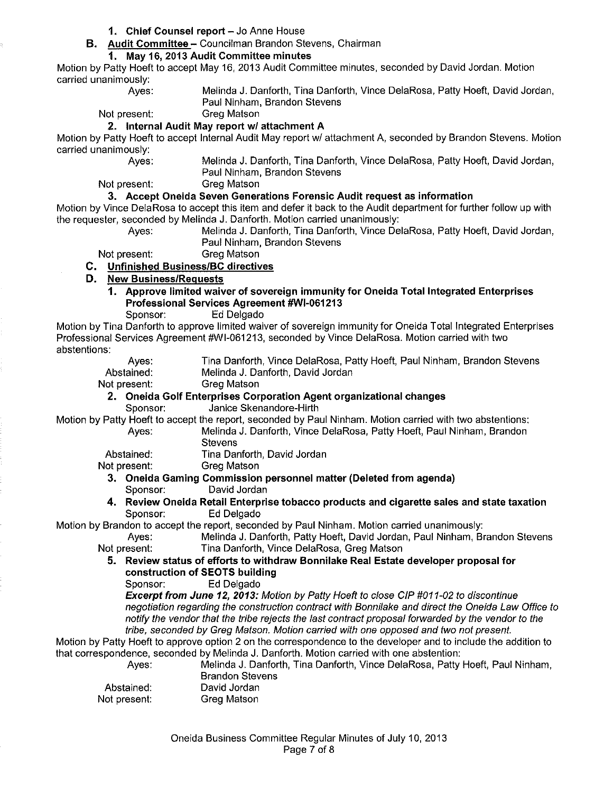- 1. Chief Counsel report Jo Anne House
- **B. Audit Committee-** Councilman Brandon Stevens, Chairman

# **1. May 16, 2013 Audit Committee minutes**

Motion by Patty Hoeft to accept May 16, 2013 Audit Committee minutes, seconded by David Jordan. Motion carried unanimously:

Ayes: Melinda **J.** Danforth, Tina Danforth, Vince DelaRosa, Patty Hoeft, David Jordan, Paul Ninham, Brandon Stevens

Not present: Greg Matson

### **2. Internal Audit May report w/ attachment A**

Motion by Patty Hoeft to accept Internal Audit May report wl attachment A, seconded by Brandon Stevens. Motion carried unanimously:

Ayes: Melinda J. Danforth, Tina Danforth, Vince DelaRosa, Patty Hoeft, David Jordan, Paul Ninham, Brandon Stevens

Melinda J. Danforth, Tina Danforth, Vince DelaRosa, Patty Hoeft, David Jordan,

Not present: Greg Matson

# **3. Accept Oneida Seven Generations Forensic Audit request as information**

Motion by Vince DelaRosa to accept this item and defer it back to the Audit department for further follow up with the requester, seconded by Melinda **J.** Danforth. Motion carried unanimously:

Paul Ninham, Brandon Stevens

Not present: Greg Matson

- **C. Unfinished Business/Be directives**
- **D. New Business/Requests** 
	- **1. Approve limited waiver of sovereign immunity for Oneida Total Integrated Enterprises Professional Services Agreement #WI-061213**

Sponsor: Ed Delgado

Motion by Tina Danforth to approve limited waiver of sovereign immunity for Oneida Total Integrated Enterprises Professional Services Agreement #WI-061213, seconded by Vince DelaRosa. Motion carried with two abstentions:

| Aves:        | Tina Danforth, Vince DelaRosa, Patty Hoeft, Paul Ninham, Brandon Stevens                                  |
|--------------|-----------------------------------------------------------------------------------------------------------|
| Abstained:   | Melinda J. Danforth, David Jordan                                                                         |
| Not present: | Greg Matson                                                                                               |
|              | 2. Oneida Golf Enterprises Corporation Agent organizational changes                                       |
| Sponsor:     | Janice Skenandore-Hirth                                                                                   |
|              | Motion by Patty Hoeft to accept the report, seconded by Paul Ninham. Motion carried with two abstentions: |
| Aves:        | Melinda J. Danforth, Vince DelaRosa, Patty Hoeft, Paul Ninham, Brandon                                    |
|              | <b>Stevens</b>                                                                                            |
| Abstained:   | Tina Danforth, David Jordan                                                                               |
| Not present: | Greg Matson                                                                                               |
|              | 9 - Onalda Camina Campaignian napaannal mattan (Dalatasi fuang angusta).                                  |

**3. Oneida Gaming Commission personnel matter (Deleted from agenda)**  Sponsor: David Jordan

### **4. Review Oneida Retail Enterprise tobacco products and cigarette sales and state taxation**  Sponsor: Ed Delgado

Motion by Brandon to accept the report, seconded by Paul Ninham. Motion carried unanimously:

Ayes: Melinda J. Danforth, Patty Hoeft, David Jordan, Paul Ninham, Brandon Stevens Not present: Tina Danforth, Vince DelaRosa, Greg Matson

### **5. Review status of efforts to withdraw Bonnilake Real Estate developer proposal for construction of SEOTS building**

Sponsor: Ed Delgado

**Excerpt from June 12, 2013:** Motion by Patty Hoeft to close CIP #011-02 to discontinue negotiation regarding the construction contract with Bonnilake and direct the Oneida Law Office to notify the vendor that the tribe rejects the last contract proposal forwarded by the vendor to the tribe, seconded by Greg Matson. Motion carried with one opposed and two not present.

Motion by Patty Hoeft to approve option 2 on the correspondence to the developer and to include the addition to that correspondence, seconded by Melinda **J.** Danforth. Motion carried with one abstention:

Ayes: Melinda J. Danforth, Tina Danforth, Vince DelaRosa, Patty Hoeft, Paul Ninham,

Brandon Stevens David Jordan

Abstained: Not present: Greg Matson